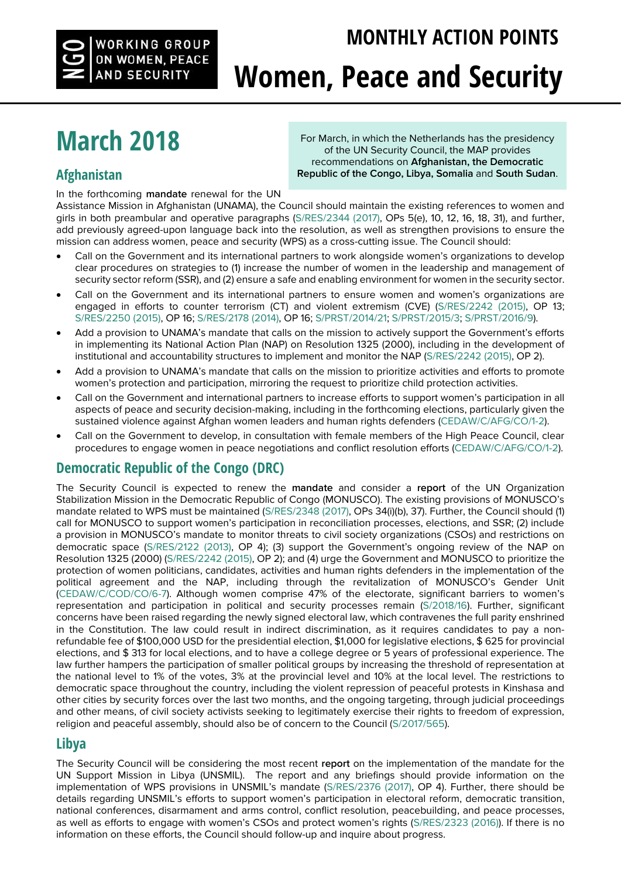### **MONTHLY ACTION POINTS**



# **Women, Peace and Security**

## **March 2018**

#### **[Afghanistan](http://www.womenpeacesecurity.org/issue/afghanistan/)**

In the forthcoming **mandate** renewal for the UN

For March, in which the Netherlands has the presidency of the UN Security Council, the MAP provides recommendations on **Afghanistan, the Democratic Republic of the Congo, Libya, Somalia** and **South Sudan**.

Assistance Mission in Afghanistan (UNAMA), the Council should maintain the existing references to women and girls in both preambular and operative paragraphs [\(S/RES/2344 \(2017\),](http://undocs.org/S/RES/2344%20(2017)) OPs 5(e), 10, 12, 16, 18, 31), and further, add previously agreed-upon language back into the resolution, as well as strengthen provisions to ensure the mission can address women, peace and security (WPS) as a cross-cutting issue. The Council should:

- Call on the Government and its international partners to work alongside women's organizations to develop clear procedures on strategies to (1) increase the number of women in the leadership and management of security sector reform (SSR), and (2) ensure a safe and enabling environment for women in the security sector.
- Call on the Government and its international partners to ensure women and women's organizations are engaged in efforts to counter terrorism (CT) and violent extremism (CVE) [\(S/RES/2242 \(2015\),](http://undocs.org/S/RES/2242%20(2015)) OP 13; [S/RES/2250 \(2015\),](http://undocs.org/S/RES/2250%20(2015)) OP 16; [S/RES/2178 \(2014\),](http://undocs.org/S/RES/2178%20(2014)) OP 16; [S/PRST/2014/21;](http://undocs.org/S/PRST/2014/21) [S/PRST/2015/3;](http://undocs.org/S/PRST/2015/3) [S/PRST/2016/9\).](http://undocs.org/S/PRST/2016/9)
- Add a provision to UNAMA's mandate that calls on the mission to actively support the Government's efforts in implementing its National Action Plan (NAP) on Resolution 1325 (2000), including in the development of institutional and accountability structures to implement and monitor the NAP [\(S/RES/2242 \(2015\),](http://undocs.org/S/RES/2242%20(2015)) OP 2).
- Add a provision to UNAMA's mandate that calls on the mission to prioritize activities and efforts to promote women's protection and participation, mirroring the request to prioritize child protection activities.
- Call on the Government and international partners to increase efforts to support women's participation in all aspects of peace and security decision-making, including in the forthcoming elections, particularly given the sustained violence against Afghan women leaders and human rights defenders [\(CEDAW/C/AFG/CO/1-2\)](http://undocs.org/CEDAW/C/AFG/CO/1-2).
- Call on the Government to develop, in consultation with female members of the High Peace Council, clear procedures to engage women in peace negotiations and conflict resolution efforts [\(CEDAW/C/AFG/CO/1-2\).](http://undocs.org/CEDAW/C/AFG/CO/1-2)

#### **[Democratic Republic of the Congo \(DRC\)](http://www.womenpeacesecurity.org/issue/drc/http:/www.womenpeacesecurity.org/issue/drc/)**

The Security Council is expected to renew the **mandate** and consider a **report** of the UN Organization Stabilization Mission in the Democratic Republic of Congo (MONUSCO). The existing provisions of MONUSCO's mandate related to WPS must be maintained [\(S/RES/2348 \(2017\),](http://undocs.org/S/RES/2348%20(2017)) OPs 34(i)(b), 37). Further, the Council should (1) call for MONUSCO to support women's participation in reconciliation processes, elections, and SSR; (2) include a provision in MONUSCO's mandate to monitor threats to civil society organizations (CSOs) and restrictions on democratic space [\(S/RES/2122 \(2013\),](http://undocs.org/S/RES/2122(2013)) OP 4); (3) support the Government's ongoing review of the NAP on Resolution 1325 (2000) [\(S/RES/2242 \(2015\),](http://undocs.org/S/RES/2242%20(2015)) OP 2); and (4) urge the Government and MONUSCO to prioritize the protection of women politicians, candidates, activities and human rights defenders in the implementation of the political agreement and the NAP, including through the revitalization of MONUSCO's Gender Unit [\(CEDAW/C/COD/CO/6-7\)](http://undocs.org/CEDAW/C/COD/6-7). Although women comprise 47% of the electorate, significant barriers to women's representation and participation in political and security processes remain [\(S/2018/16\)](http://undocs.org/S/2018/16). Further, significant concerns have been raised regarding the newly signed electoral law, which contravenes the full parity enshrined in the Constitution. The law could result in indirect discrimination, as it requires candidates to pay a nonrefundable fee of \$100,000 USD for the presidential election, \$1,000 for legislative elections, \$ 625 for provincial elections, and \$ 313 for local elections, and to have a college degree or 5 years of professional experience. The law further hampers the participation of smaller political groups by increasing the threshold of representation at the national level to 1% of the votes, 3% at the provincial level and 10% at the local level. The restrictions to democratic space throughout the country, including the violent repression of peaceful protests in Kinshasa and other cities by security forces over the last two months, and the ongoing targeting, through judicial proceedings and other means, of civil society activists seeking to legitimately exercise their rights to freedom of expression, religion and peaceful assembly, should also be of concern to the Council [\(S/2017/565\).](http://undocs.org/S/2017/565)

#### **[Libya](http://www.womenpeacesecurity.org/issue/libya/)**

The Security Council will be considering the most recent **report** on the implementation of the mandate for the UN Support Mission in Libya (UNSMIL). The report and any briefings should provide information on the implementation of WPS provisions in UNSMIL's mandate ([S/RES/2376 \(2017\),](http://undocs.org/S/RES/2376%20(2017)) OP 4). Further, there should be details regarding UNSMIL's efforts to support women's participation in electoral reform, democratic transition, national conferences, disarmament and arms control, conflict resolution, peacebuilding, and peace processes, as well as efforts to engage with women's CSOs and protect women's rights ([S/RES/2323 \(2016\)\)](http://undocs.org/S/RES/2323(2016)). If there is no information on these efforts, the Council should follow-up and inquire about progress.